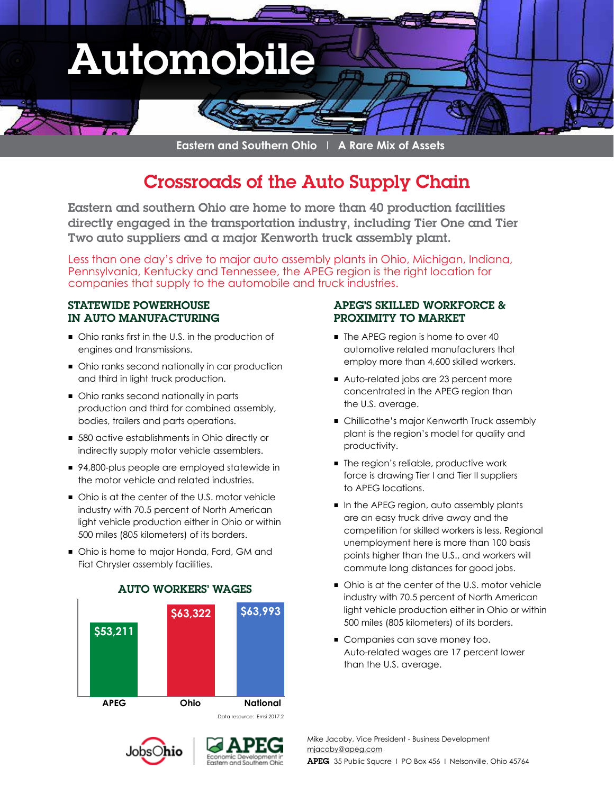

**Eastern and Southern Ohio** I **A Rare Mix of Assets**

# Crossroads of the Auto Supply Chain

Eastern and southern Ohio are home to more than 40 production facilities directly engaged in the transportation industry, including Tier One and Tier Two auto suppliers and a major Kenworth truck assembly plant.

Less than one day's drive to major auto assembly plants in Ohio, Michigan, Indiana, Pennsylvania, Kentucky and Tennessee, the APEG region is the right location for companies that supply to the automobile and truck industries.

### STATEWIDE POWERHOUSE IN AUTO MANUFACTURING

- Ohio ranks first in the U.S. in the production of engines and transmissions.
- Ohio ranks second nationally in car production and third in light truck production.
- Ohio ranks second nationally in parts production and third for combined assembly, bodies, trailers and parts operations.
- 580 active establishments in Ohio directly or indirectly supply motor vehicle assemblers.
- 94,800-plus people are employed statewide in the motor vehicle and related industries.
- Ohio is at the center of the U.S. motor vehicle industry with 70.5 percent of North American light vehicle production either in Ohio or within 500 miles (805 kilometers) of its borders.
- Ohio is home to major Honda, Ford, GM and Fiat Chrysler assembly facilities.



#### AUTO WORKERS' WAGES

### Jobs( )hio



### APEG'S SKILLED WORKFORCE & PROXIMITY TO MARKET

- The APEG region is home to over 40 automotive related manufacturers that employ more than 4,600 skilled workers.
- Auto-related jobs are 23 percent more concentrated in the APEG region than the U.S. average.
- Chillicothe's major Kenworth Truck assembly plant is the region's model for quality and productivity.
- The region's reliable, productive work force is drawing Tier I and Tier II suppliers to APEG locations.
- In the APEG region, auto assembly plants are an easy truck drive away and the competition for skilled workers is less. Regional unemployment here is more than 100 basis points higher than the U.S., and workers will commute long distances for good jobs.
- Ohio is at the center of the U.S. motor vehicle industry with 70.5 percent of North American light vehicle production either in Ohio or within 500 miles (805 kilometers) of its borders.
- Companies can save money too. Auto-related wages are 17 percent lower than the U.S. average.

Mike Jacoby, Vice President - Business Development mjacoby@apeg.com APEG 35 Public Square I PO Box 456 I Nelsonville, Ohio 45764